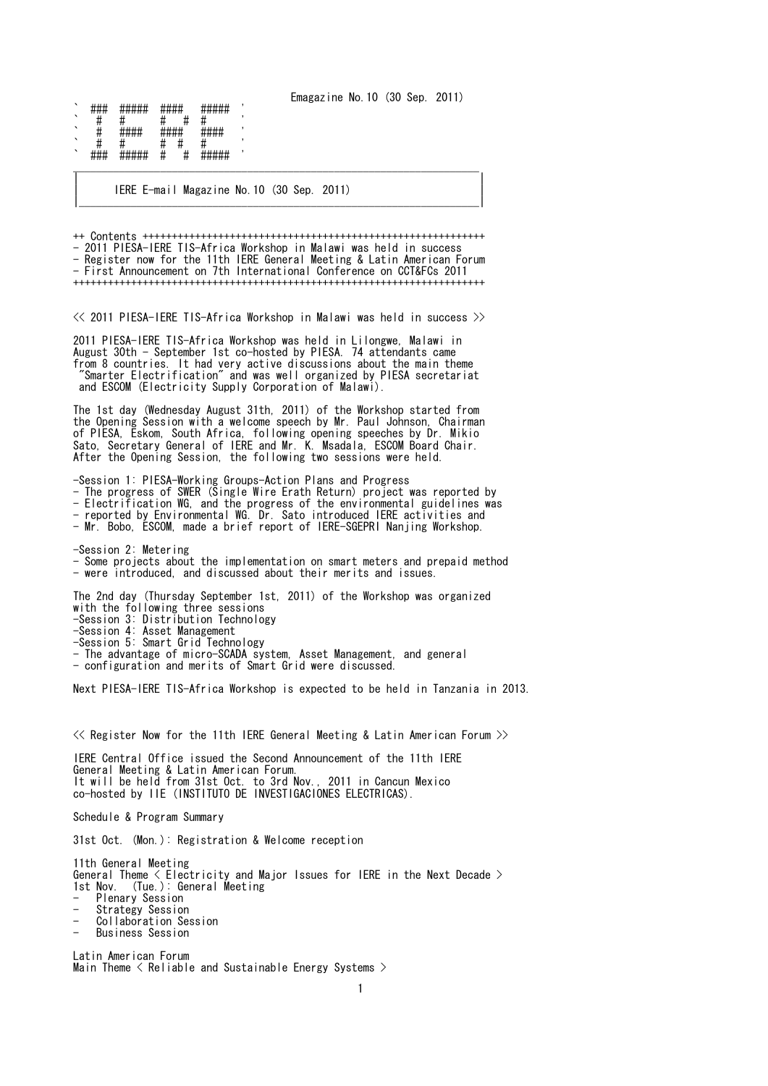Emagazine No.10 (30 Sep. 2011)

| `       | ,, ,, ,,       | <b>MILITIO</b><br>##### | <del>****</del>        | <del>*****</del>        |  |
|---------|----------------|-------------------------|------------------------|-------------------------|--|
| `       | π              |                         |                        |                         |  |
| `       |                | <b>пппп</b>             | шшшш<br>$\pi\pi\pi\pi$ | 1111111<br><del>.</del> |  |
| `       | π              |                         |                        |                         |  |
| $\cdot$ | <del>###</del> | #####                   | π<br>π                 | <i>пппп</i> п<br>#####  |  |

| IERE E-mail Magazine No.10 (30 Sep. 2011) | |\_\_\_\_\_\_\_\_\_\_\_\_\_\_\_\_\_\_\_\_\_\_\_\_\_\_\_\_\_\_\_\_\_\_\_\_\_\_\_\_\_\_\_\_\_\_\_\_\_\_\_\_\_\_\_\_\_\_\_\_\_\_\_\_\_\_\_\_\_|

++ Contents +++++++++++++++++++++++++++++++++++++++++++++++++++++++++++ - 2011 PIESA-IERE TIS-Africa Workshop in Malawi was held in success - Register now for the 11th IERE General Meeting & Latin American Forum - First Announcement on 7th International Conference on CCT&FCs 2011 +++++++++++++++++++++++++++++++++++++++++++++++++++++++++++++++++++++++

| |

<< 2011 PIESA-IERE TIS-Africa Workshop in Malawi was held in success >>

2011 PIESA-IERE TIS-Africa Workshop was held in Lilongwe, Malawi in August 30th - September 1st co-hosted by PIESA. 74 attendants came from 8 countries. It had very active discussions about the main theme "Smarter Electrification" and was well organized by PIESA secretariat and ESCOM (Electricity Supply Corporation of Malawi).

The 1st day (Wednesday August 31th, 2011) of the Workshop started from the Opening Session with a welcome speech by Mr. Paul Johnson, Chairman of PIESA, Eskom, South Africa, following opening speeches by Dr. Mikio Sato, Secretary General of IERE and Mr. K. Msadala, ESCOM Board Chair. After the Opening Session, the following two sessions were held.

-Session 1: PIESA-Working Groups-Action Plans and Progress - The progress of SWER (Single Wire Erath Return) project was reported by - Electrification WG, and the progress of the environmental guidelines was - reported by Environmental WG. Dr. Sato introduced IERE activities and

- Mr. Bobo, ESCOM, made a brief report of IERE-SGEPRI Nanjing Workshop.

-Session 2: Metering - Some projects about the implementation on smart meters and prepaid method - were introduced, and discussed about their merits and issues.

The 2nd day (Thursday September 1st, 2011) of the Workshop was organized with the following three sessions -Session 3: Distribution Technology -Session 4: Asset Management -Session 5: Smart Grid Technology - The advantage of micro-SCADA system, Asset Management, and general - configuration and merits of Smart Grid were discussed.

Next PIESA-IERE TIS-Africa Workshop is expected to be held in Tanzania in 2013.

<< Register Now for the 11th IERE General Meeting & Latin American Forum >>

IERE Central Office issued the Second Announcement of the 11th IERE General Meeting & Latin American Forum. It will be held from 31st Oct. to 3rd Nov., 2011 in Cancun Mexico co-hosted by IIE (INSTITUTO DE INVESTIGACIONES ELECTRICAS).

Schedule & Program Summary

31st Oct. (Mon.): Registration & Welcome reception

11th General Meeting General Theme < Electricity and Major Issues for IERE in the Next Decade > 1st Nov. (Tue.): General Meeting Plenary Session

- Strategy Session
- Collaboration Session
- Business Session

Latin American Forum Main Theme < Reliable and Sustainable Energy Systems >